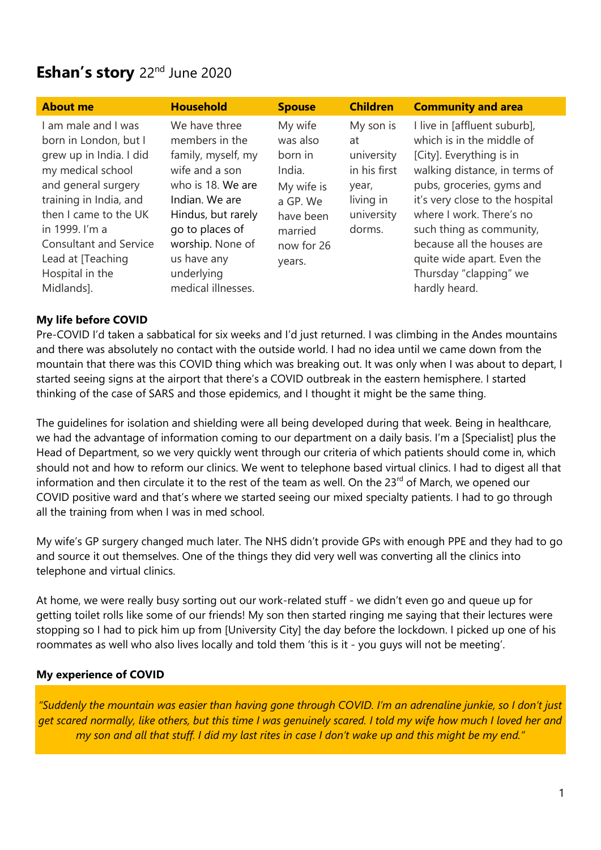# **Eshan's story** 22nd June 2020

| <b>About me</b>                                                                                                                                                                                                                                                                 | <b>Household</b>                                                                                                                                                                                                               | <b>Spouse</b>                                                                                                      | <b>Children</b>                                                                             | <b>Community and area</b>                                                                                                                                                                                                                                                                                                                             |
|---------------------------------------------------------------------------------------------------------------------------------------------------------------------------------------------------------------------------------------------------------------------------------|--------------------------------------------------------------------------------------------------------------------------------------------------------------------------------------------------------------------------------|--------------------------------------------------------------------------------------------------------------------|---------------------------------------------------------------------------------------------|-------------------------------------------------------------------------------------------------------------------------------------------------------------------------------------------------------------------------------------------------------------------------------------------------------------------------------------------------------|
| I am male and I was<br>born in London, but I<br>grew up in India. I did<br>my medical school<br>and general surgery<br>training in India, and<br>then I came to the UK<br>in 1999. I'm a<br><b>Consultant and Service</b><br>Lead at [Teaching<br>Hospital in the<br>Midlands]. | We have three<br>members in the<br>family, myself, my<br>wife and a son<br>who is 18. We are<br>Indian. We are<br>Hindus, but rarely<br>go to places of<br>worship. None of<br>us have any<br>underlying<br>medical illnesses. | My wife<br>was also<br>born in<br>India.<br>My wife is<br>a GP. We<br>have been<br>married<br>now for 26<br>years. | My son is<br>at<br>university<br>in his first<br>year,<br>living in<br>university<br>dorms. | I live in [affluent suburb],<br>which is in the middle of<br>[City]. Everything is in<br>walking distance, in terms of<br>pubs, groceries, gyms and<br>it's very close to the hospital<br>where I work. There's no<br>such thing as community,<br>because all the houses are<br>quite wide apart. Even the<br>Thursday "clapping" we<br>hardly heard. |

## **My life before COVID**

Pre-COVID I'd taken a sabbatical for six weeks and I'd just returned. I was climbing in the Andes mountains and there was absolutely no contact with the outside world. I had no idea until we came down from the mountain that there was this COVID thing which was breaking out. It was only when I was about to depart, I started seeing signs at the airport that there's a COVID outbreak in the eastern hemisphere. I started thinking of the case of SARS and those epidemics, and I thought it might be the same thing.

The guidelines for isolation and shielding were all being developed during that week. Being in healthcare, we had the advantage of information coming to our department on a daily basis. I'm a [Specialist] plus the Head of Department, so we very quickly went through our criteria of which patients should come in, which should not and how to reform our clinics. We went to telephone based virtual clinics. I had to digest all that information and then circulate it to the rest of the team as well. On the 23<sup>rd</sup> of March, we opened our COVID positive ward and that's where we started seeing our mixed specialty patients. I had to go through all the training from when I was in med school.

My wife's GP surgery changed much later. The NHS didn't provide GPs with enough PPE and they had to go and source it out themselves. One of the things they did very well was converting all the clinics into telephone and virtual clinics.

At home, we were really busy sorting out our work-related stuff - we didn't even go and queue up for getting toilet rolls like some of our friends! My son then started ringing me saying that their lectures were stopping so I had to pick him up from [University City] the day before the lockdown. I picked up one of his roommates as well who also lives locally and told them 'this is it - you guys will not be meeting'.

#### **My experience of COVID**

*"Suddenly the mountain was easier than having gone through COVID. I'm an adrenaline junkie, so I don't just get scared normally, like others, but this time I was genuinely scared. I told my wife how much I loved her and my son and all that stuff. I did my last rites in case I don't wake up and this might be my end."*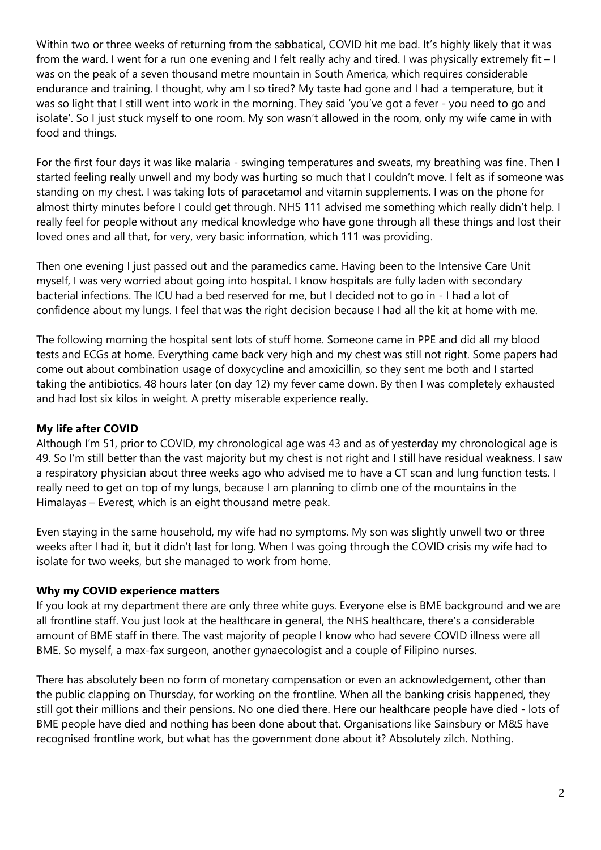Within two or three weeks of returning from the sabbatical, COVID hit me bad. It's highly likely that it was from the ward. I went for a run one evening and I felt really achy and tired. I was physically extremely fit – I was on the peak of a seven thousand metre mountain in South America, which requires considerable endurance and training. I thought, why am I so tired? My taste had gone and I had a temperature, but it was so light that I still went into work in the morning. They said 'you've got a fever - you need to go and isolate'. So I just stuck myself to one room. My son wasn't allowed in the room, only my wife came in with food and things.

For the first four days it was like malaria - swinging temperatures and sweats, my breathing was fine. Then I started feeling really unwell and my body was hurting so much that I couldn't move. I felt as if someone was standing on my chest. I was taking lots of paracetamol and vitamin supplements. I was on the phone for almost thirty minutes before I could get through. NHS 111 advised me something which really didn't help. I really feel for people without any medical knowledge who have gone through all these things and lost their loved ones and all that, for very, very basic information, which 111 was providing.

Then one evening I just passed out and the paramedics came. Having been to the Intensive Care Unit myself, I was very worried about going into hospital. I know hospitals are fully laden with secondary bacterial infections. The ICU had a bed reserved for me, but I decided not to go in - I had a lot of confidence about my lungs. I feel that was the right decision because I had all the kit at home with me.

The following morning the hospital sent lots of stuff home. Someone came in PPE and did all my blood tests and ECGs at home. Everything came back very high and my chest was still not right. Some papers had come out about combination usage of doxycycline and amoxicillin, so they sent me both and I started taking the antibiotics. 48 hours later (on day 12) my fever came down. By then I was completely exhausted and had lost six kilos in weight. A pretty miserable experience really.

### **My life after COVID**

Although I'm 51, prior to COVID, my chronological age was 43 and as of yesterday my chronological age is 49. So I'm still better than the vast majority but my chest is not right and I still have residual weakness. I saw a respiratory physician about three weeks ago who advised me to have a CT scan and lung function tests. I really need to get on top of my lungs, because I am planning to climb one of the mountains in the Himalayas – Everest, which is an eight thousand metre peak.

Even staying in the same household, my wife had no symptoms. My son was slightly unwell two or three weeks after I had it, but it didn't last for long. When I was going through the COVID crisis my wife had to isolate for two weeks, but she managed to work from home.

#### **Why my COVID experience matters**

If you look at my department there are only three white guys. Everyone else is BME background and we are all frontline staff. You just look at the healthcare in general, the NHS healthcare, there's a considerable amount of BME staff in there. The vast majority of people I know who had severe COVID illness were all BME. So myself, a max-fax surgeon, another gynaecologist and a couple of Filipino nurses.

There has absolutely been no form of monetary compensation or even an acknowledgement, other than the public clapping on Thursday, for working on the frontline. When all the banking crisis happened, they still got their millions and their pensions. No one died there. Here our healthcare people have died - lots of BME people have died and nothing has been done about that. Organisations like Sainsbury or M&S have recognised frontline work, but what has the government done about it? Absolutely zilch. Nothing.